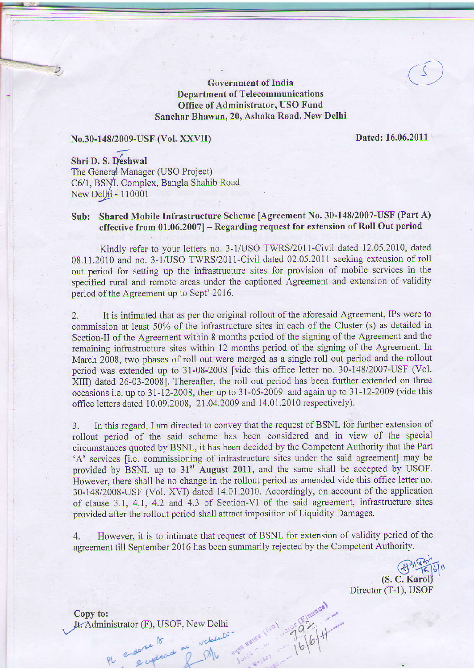Government of India CO Department of Telecommunications Office of Administrator, USO Fund Sanchar Bhawan, 20, Ashoka Road, New Delhi

#### N0.30-148/2009-USF (vol. XXVII)

Dated:16.06.2011

Shri D. S. Deshwal The General Manager (USO Project) C6/1, BSNL Complex, Bangla Shahib Road New Delhi - 110001

## Sub: Shared Mobile Infrastructure Scheme lAgreement No. 30-148/2007-USF (Part A) effective from  $01.06.2007$ ] – Regarding request for extension of Roll Out period

Kindly refer to your letters no. 3-1/USO TWRS/2011-Civil dated 12.05.2010, dated 08.11.2010 and no. 3-1/USO TWRS/2011-Civil dated 02.05.2011 seeking extension of roll out period for setting up the infrastructure sites for provision of mobile services in the specified rural and remote areas under the captioned Agreement and extension of validity period of the Agreement up to Sept' 2016.

2. It is intimated that as per the original rollout of the aforesaid Agreement, IPs were to commission at least 50% of the infrastructure sites in each of the Cluster (s) as detailed in Section-II of the Agreement within 8 months period of the signing of the Agreement and the remaining infrastructure sites within 12 months period of the signing of the Agreement. In March 2008, two phases of roll out were merged as a single roll out period and the rollout period was extended up to 31-08-2008 [vide this office letter no. 30-148/2007-USF (Vol. XIID dated 26-03-20081. Thereafter, the roll out period has been futher extended on three occasions i.e. up to  $31-12-2008$ , then up to  $31-05-2009$  and again up to  $31-12-2009$  (vide this office letters dated 10.09.2008. 21 .04.2009 and 14.01 .2010 respectively).

3. ln this regard, Iam directed to convey that the request of BSNL for further extension of rollout period of the said scheme has been considered and in view of the special circumstances quoted by BSNL, it has been decided by the Competent Authority that the Part 'A' services [i.e. commissioning of infrastructure sites under the said agreement] may be provided by BSNL up to 31<sup>st</sup> August 2011, and the same shall be accepted by USOF. However, there shall be no change in the rollout period as amended vide this office letter no. 30-148/2008-USF (Vol. XVI) dated 14.01.2010. Accordingly, on account of the application of clause 3.1, 4.1, 4.2 and 4.3 of Section-Vl of the said agreement, infrastructure sites provided after the rollout period shall attract imposition of Liquidity Damages.

4. However, it is to intimate that request of BSNL for extension of validity period of the agreement till September 2016 has been summarily rejected by the Competent Authority.

Einance)

 $79\%$ 

 $|p|_p$ 

(S. C. Karol) Director (T-1), USOF

Copy to:<br>Jt. Administrator (F), USOF, New Delhi Jt. Administrator (F), USOF, New Delhi

 $\Omega$  endorse a position

 $\gamma$  , there

 $\lambda$